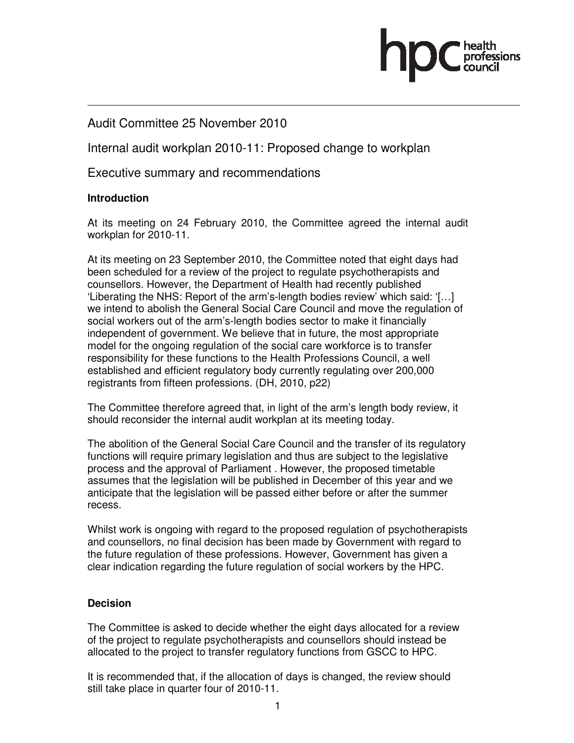## Audit Committee 25 November 2010

Internal audit workplan 2010-11: Proposed change to workplan

Executive summary and recommendations

## **Introduction**

At its meeting on 24 February 2010, the Committee agreed the internal audit workplan for 2010-11.

At its meeting on 23 September 2010, the Committee noted that eight days had been scheduled for a review of the project to regulate psychotherapists and counsellors. However, the Department of Health had recently published 'Liberating the NHS: Report of the arm's-length bodies review' which said: '[…] we intend to abolish the General Social Care Council and move the regulation of social workers out of the arm's-length bodies sector to make it financially independent of government. We believe that in future, the most appropriate model for the ongoing regulation of the social care workforce is to transfer responsibility for these functions to the Health Professions Council, a well established and efficient regulatory body currently regulating over 200,000 registrants from fifteen professions. (DH, 2010, p22)

The Committee therefore agreed that, in light of the arm's length body review, it should reconsider the internal audit workplan at its meeting today.

The abolition of the General Social Care Council and the transfer of its regulatory functions will require primary legislation and thus are subject to the legislative process and the approval of Parliament . However, the proposed timetable assumes that the legislation will be published in December of this year and we anticipate that the legislation will be passed either before or after the summer recess.

Whilst work is ongoing with regard to the proposed regulation of psychotherapists and counsellors, no final decision has been made by Government with regard to the future regulation of these professions. However, Government has given a clear indication regarding the future regulation of social workers by the HPC.

## **Decision**

The Committee is asked to decide whether the eight days allocated for a review of the project to regulate psychotherapists and counsellors should instead be allocated to the project to transfer regulatory functions from GSCC to HPC.

It is recommended that, if the allocation of days is changed, the review should still take place in quarter four of 2010-11.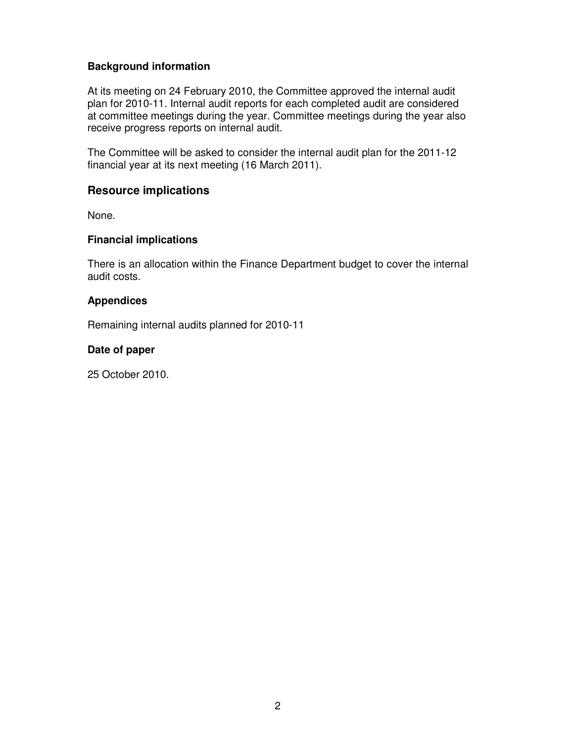## **Background information**

At its meeting on 24 February 2010, the Committee approved the internal audit plan for 2010-11. Internal audit reports for each completed audit are considered at committee meetings during the year. Committee meetings during the year also receive progress reports on internal audit.

The Committee will be asked to consider the internal audit plan for the 2011-12 financial year at its next meeting (16 March 2011).

## **Resource implications**

None.

## **Financial implications**

There is an allocation within the Finance Department budget to cover the internal audit costs.

### **Appendices**

Remaining internal audits planned for 2010-11

## **Date of paper**

25 October 2010.